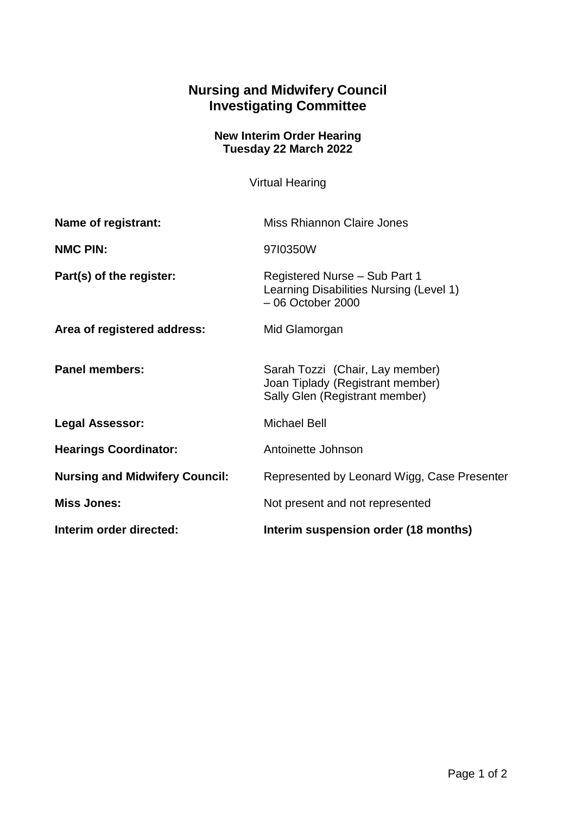## **Nursing and Midwifery Council Investigating Committee**

## **New Interim Order Hearing Tuesday 22 March 2022**

Virtual Hearing

| Name of registrant:                   | Miss Rhiannon Claire Jones                                                                            |
|---------------------------------------|-------------------------------------------------------------------------------------------------------|
| <b>NMC PIN:</b>                       | 9710350W                                                                                              |
| Part(s) of the register:              | Registered Nurse - Sub Part 1<br>Learning Disabilities Nursing (Level 1)<br>$-06$ October 2000        |
| Area of registered address:           | Mid Glamorgan                                                                                         |
| <b>Panel members:</b>                 | Sarah Tozzi (Chair, Lay member)<br>Joan Tiplady (Registrant member)<br>Sally Glen (Registrant member) |
| <b>Legal Assessor:</b>                | <b>Michael Bell</b>                                                                                   |
| <b>Hearings Coordinator:</b>          | Antoinette Johnson                                                                                    |
| <b>Nursing and Midwifery Council:</b> | Represented by Leonard Wigg, Case Presenter                                                           |
| <b>Miss Jones:</b>                    | Not present and not represented                                                                       |
| Interim order directed:               | Interim suspension order (18 months)                                                                  |